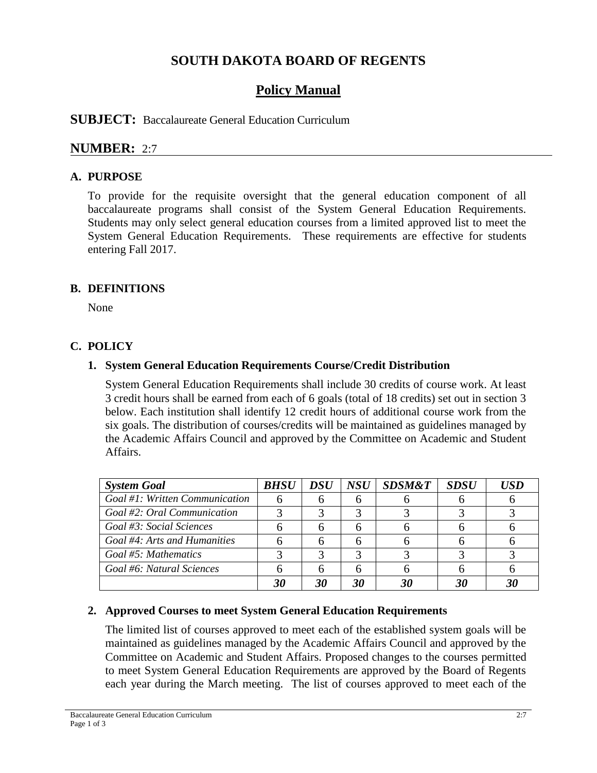# **SOUTH DAKOTA BOARD OF REGENTS**

# **Policy Manual**

# **SUBJECT:** Baccalaureate General Education Curriculum

# **NUMBER:** 2:7

## **A. PURPOSE**

To provide for the requisite oversight that the general education component of all baccalaureate programs shall consist of the System General Education Requirements. Students may only select general education courses from a limited approved list to meet the System General Education Requirements. These requirements are effective for students entering Fall 2017.

## **B. DEFINITIONS**

None

# **C. POLICY**

## **1. System General Education Requirements Course/Credit Distribution**

System General Education Requirements shall include 30 credits of course work. At least 3 credit hours shall be earned from each of 6 goals (total of 18 credits) set out in section 3 below. Each institution shall identify 12 credit hours of additional course work from the six goals. The distribution of courses/credits will be maintained as guidelines managed by the Academic Affairs Council and approved by the Committee on Academic and Student Affairs.

| <b>System Goal</b>             | <b>BHSU</b> | <b>DSU</b> | <b>NSU</b> | <b>SDSM&amp;T</b> | <b>SDSU</b> | USD |
|--------------------------------|-------------|------------|------------|-------------------|-------------|-----|
| Goal #1: Written Communication | h           |            |            |                   |             |     |
| Goal #2: Oral Communication    |             |            |            |                   |             |     |
| Goal #3: Social Sciences       |             |            |            |                   |             |     |
| Goal #4: Arts and Humanities   |             |            |            |                   |             |     |
| Goal #5: Mathematics           |             |            |            |                   |             |     |
| Goal #6: Natural Sciences      |             |            |            |                   |             |     |
|                                | 30          | 30         | 30         | 30                |             | 31  |

#### **2. Approved Courses to meet System General Education Requirements**

The limited list of courses approved to meet each of the established system goals will be maintained as guidelines managed by the Academic Affairs Council and approved by the Committee on Academic and Student Affairs. Proposed changes to the courses permitted to meet System General Education Requirements are approved by the Board of Regents each year during the March meeting. The list of courses approved to meet each of the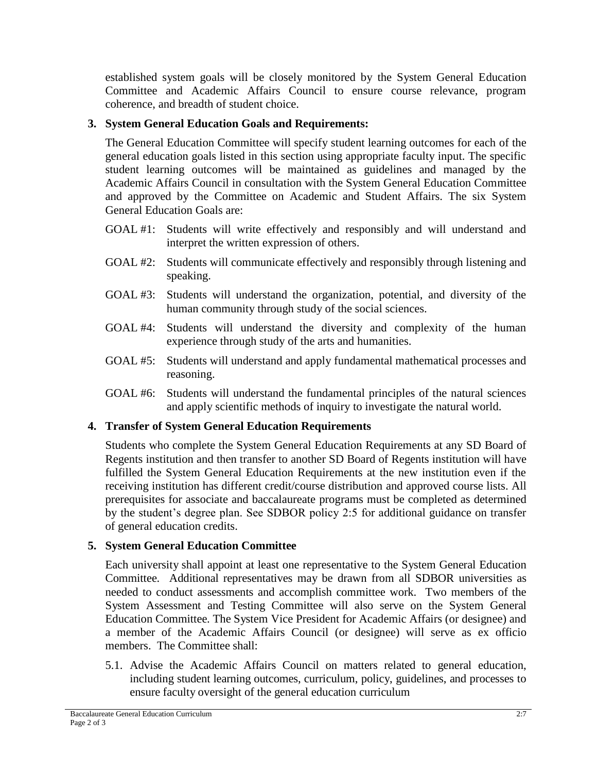established system goals will be closely monitored by the System General Education Committee and Academic Affairs Council to ensure course relevance, program coherence, and breadth of student choice.

# **3. System General Education Goals and Requirements:**

The General Education Committee will specify student learning outcomes for each of the general education goals listed in this section using appropriate faculty input. The specific student learning outcomes will be maintained as guidelines and managed by the Academic Affairs Council in consultation with the System General Education Committee and approved by the Committee on Academic and Student Affairs. The six System General Education Goals are:

- GOAL #1: Students will write effectively and responsibly and will understand and interpret the written expression of others.
- GOAL #2: Students will communicate effectively and responsibly through listening and speaking.
- GOAL #3: Students will understand the organization, potential, and diversity of the human community through study of the social sciences.
- GOAL #4: Students will understand the diversity and complexity of the human experience through study of the arts and humanities.
- GOAL #5: Students will understand and apply fundamental mathematical processes and reasoning.
- GOAL #6: Students will understand the fundamental principles of the natural sciences and apply scientific methods of inquiry to investigate the natural world.

## **4. Transfer of System General Education Requirements**

Students who complete the System General Education Requirements at any SD Board of Regents institution and then transfer to another SD Board of Regents institution will have fulfilled the System General Education Requirements at the new institution even if the receiving institution has different credit/course distribution and approved course lists. All prerequisites for associate and baccalaureate programs must be completed as determined by the student's degree plan. See SDBOR policy 2:5 for additional guidance on transfer of general education credits.

## **5. System General Education Committee**

Each university shall appoint at least one representative to the System General Education Committee. Additional representatives may be drawn from all SDBOR universities as needed to conduct assessments and accomplish committee work. Two members of the System Assessment and Testing Committee will also serve on the System General Education Committee. The System Vice President for Academic Affairs (or designee) and a member of the Academic Affairs Council (or designee) will serve as ex officio members. The Committee shall:

5.1. Advise the Academic Affairs Council on matters related to general education, including student learning outcomes, curriculum, policy, guidelines, and processes to ensure faculty oversight of the general education curriculum